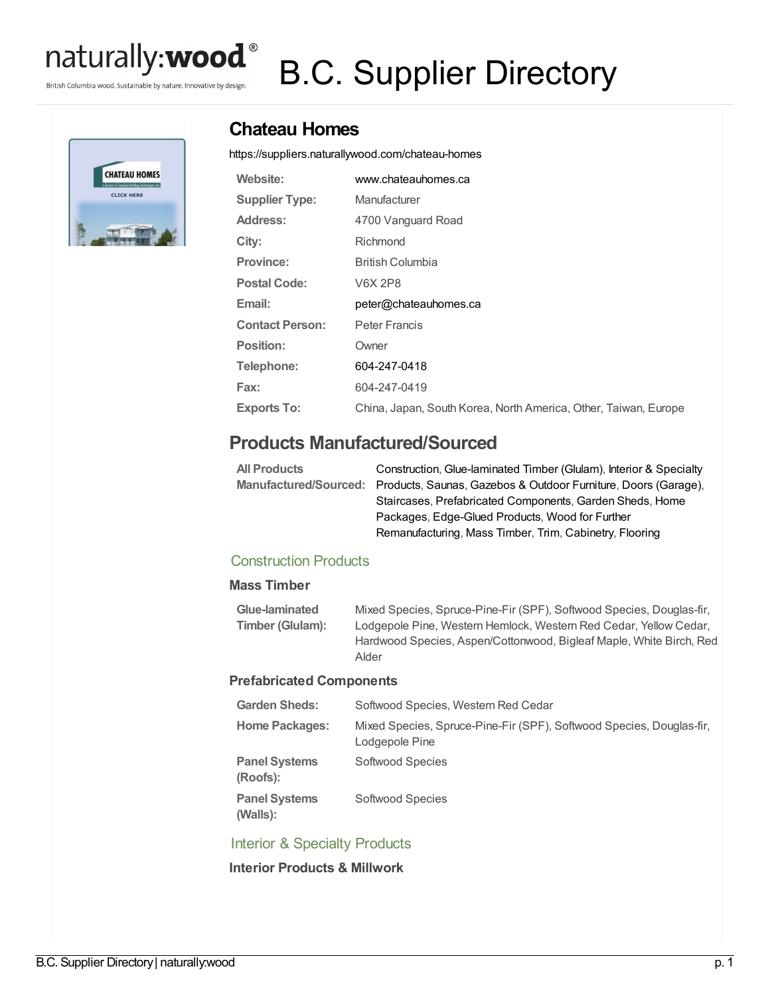

British Columbia wood. Sustainable by nature. Innovative by design.

# B.C. Supplier Directory



# **Chateau Homes**

<https://suppliers.naturallywood.com/chateau-homes>

| Website:               | www.chateauhomes.ca                                             |
|------------------------|-----------------------------------------------------------------|
| <b>Supplier Type:</b>  | Manufacturer                                                    |
| Address:               | 4700 Vanguard Road                                              |
| City:                  | Richmond                                                        |
| <b>Province:</b>       | British Columbia                                                |
| <b>Postal Code:</b>    | V6X 2P8                                                         |
| Email:                 | peter@chateauhomes.ca                                           |
| <b>Contact Person:</b> | Peter Francis                                                   |
| Position:              | Owner                                                           |
| Telephone:             | 604-247-0418                                                    |
| Fax:                   | 604-247-0419                                                    |
| <b>Exports To:</b>     | China, Japan, South Korea, North America, Other, Taiwan, Europe |

# **Products Manufactured/Sourced**

| Construction, Glue-laminated Timber (Glulam), Interior & Specialty                   |
|--------------------------------------------------------------------------------------|
| Manufactured/Sourced: Products, Saunas, Gazebos & Outdoor Furniture, Doors (Garage), |
| Staircases, Prefabricated Components, Garden Sheds, Home                             |
| Packages, Edge-Glued Products, Wood for Further                                      |
| Remanufacturing, Mass Timber, Trim, Cabinetry, Flooring                              |
|                                                                                      |

## Construction Products

#### **Mass Timber**

| Glue-laminated   | Mixed Species, Spruce-Pine-Fir (SPF), Softwood Species, Douglas-fir, |
|------------------|----------------------------------------------------------------------|
| Timber (Glulam): | Lodgepole Pine, Western Hemlock, Western Red Cedar, Yellow Cedar,    |
|                  | Hardwood Species, Aspen/Cottonwood, Bigleaf Maple, White Birch, Red  |
|                  | Alder                                                                |

#### **Prefabricated Components**

| <b>Garden Sheds:</b>             | Softwood Species, Western Red Cedar                                                    |
|----------------------------------|----------------------------------------------------------------------------------------|
| <b>Home Packages:</b>            | Mixed Species, Spruce-Pine-Fir (SPF), Softwood Species, Douglas-fir,<br>Lodgepole Pine |
| <b>Panel Systems</b><br>(Roofs): | Softwood Species                                                                       |
| <b>Panel Systems</b><br>(Walls): | Softwood Species                                                                       |

## Interior & Specialty Products

**Interior Products & Millwork**